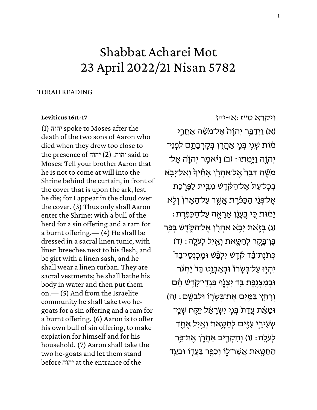## Shabbat Acharei Mot 23 April 2022/21 Nisan 5782

## TORAH READING

## **[Leviticus 16:1-17](https://www.sefaria.org/Leviticus.16.1-17)**

(1) יהוה spoke to Moses after the death of the two sons of Aaron who died when they drew too close to the presence of יהוה. (2) יהוה said to Moses: Tell your brother Aaron that he is not to come at will into the Shrine behind the curtain, in front of the cover that is upon the ark, lest he die; for I appear in the cloud over the cover. (3) Thus only shall Aaron enter the Shrine: with a bull of the herd for a sin offering and a ram for a burnt offering.— (4) He shall be dressed in a sacral linen tunic, with linen breeches next to his flesh, and be girt with a linen sash, and he shall wear a linen turban. They are sacral vestments; he shall bathe his body in water and then put them on.— (5) And from the Israelite community he shall take two hegoats for a sin offering and a ram for a burnt offering. (6) Aaron is to offer his own bull of sin offering, to make expiation for himself and for his household. (7) Aaron shall take the two he-goats and let them stand before יהוה at the entrance of the

[ויקרא](https://www.sefaria.org/Leviticus.16.1-17) [ט״ז:א׳-י״ז](https://www.sefaria.org/Leviticus.16.1-17)

(א) וַיְדַבֵּר יְהוָהֹ אֶל־מֹשֶׂה אַחֲרֵי מִׂוֹת שְׁגֵי בְּגֵי אַהֲרֶן בְּקָרְבָתָם לִפְגֵי־ יְהוַה וַיַּמְתוּ: (ב) וַי<sub>ּ</sub>ּאמֶר יְהוַׂה אֱל־ ְמֹשֶׁה דַּבֵּר אֱל־אַהֲרֹן אֲחִידְ וְאַל־יָבָא בְכָל־עֵת אֱל־הַקֹּדֵשׁ מְבֵית לַפָּרְֹכֵת אֱל־פְּנֵי הַכַּפַּ֫רֶת אֲשֱר עַל־הַאֲרֹן וְלָא יָמִ**ּוּת כִּי בֵּעָנֶ**ׁן אֵרָאֶה עַל־הַכַּפְרֶת (ג) בְּזֶאת יַבְא אַהֲרֹן אֵל־הַקְדֵשׁ בְּפֵר בֶּן־בָקֶר לְחַטָאת וְאַיְל לְעֹלֶה: (ד) כִּתְנֵת־בַּד קֹדֵשׁ יִלְבָָּשׁ וּמֵכְנְסֵי־בַד ֿ יִהְיָוּ עַל־בִּשָׂרוֹ וּבְאַבְנֵט בַּד<sup>י</sup> יַחְגֹּר **וּבְמִצְגֶפֶת בַּד יִצְנֶף בִּגְדֵי־קָדֶשׁ הֵׂם** ּוְרָחֵץ בַּמֵּיִם אֱת־בְּשֶׂרְוֹ וּלְבֵשֵֶׁם: (ה) וּמֵאֵׁת עֲדַת בְּנֵי יִשְׂרָאֵל יִקֵח שְׁנֵי־ ְשְׁעָירֵי עָזִים לְחַטֵּאת וְאֵיִל אֶחָד לְעֹלֵה: (ו) וְהִקְרֵיב אַהֲרֵן אֶת־פֵּר ַהַחַטֵּאת אֲשֶׁר־לִו וְכָפֵּ֣ר בַּעֲדו וּבְעַ֣ד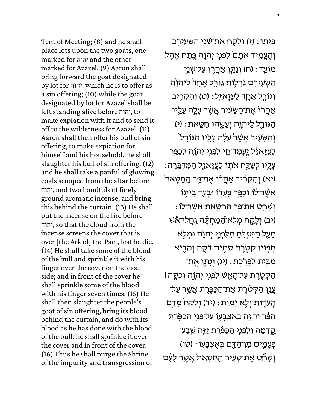Tent of Meeting; (8) and he shall place lots upon the two goats, one marked for יהוה and the other marked for Azazel. (9) Aaron shall bring forward the goat designated by lot for יהוה, which he is to offer as a sin offering; (10) while the goat designated by lot for Azazel shall be left standing alive before יהוה, to make expiation with it and to send it off to the wilderness for Azazel. (11) Aaron shall then offer his bull of sin offering, to make expiation for himself and his household. He shall slaughter his bull of sin offering, (12) and he shall take a panful of glowing coals scooped from the altar before יהוה, and two handfuls of finely ground aromatic incense, and bring this behind the curtain. (13) He shall put the incense on the fire before יהוה, so that the cloud from the incense screens the cover that is over [the Ark of] the Pact, lest he die. (14) He shall take some of the blood of the bull and sprinkle it with his finger over the cover on the east side; and in front of the cover he shall sprinkle some of the blood with his finger seven times. (15) He shall then slaughter the people's goat of sin offering, bring its blood behind the curtain, and do with its blood as he has done with the blood of the bull: he shall sprinkle it over the cover and in front of the cover. (16) Thus he shall purge the Shrine of the impurity and transgression of

בֵּיתְוֹ : (ז) וְלֵקָח אֵת־שָׁנֵי הַשְּׁעִירֵם וְהֶעֱמֶיד אֹתָם לִפְגֵי יְהוָׂה פֱתַח אָהֶל מוֹעֵד: (ח) וְנָתַן אַהַרֶן עַל־שָׁנֵי ַּהַשְּׁעִירֻם גֹּרָלֶות גּוֹרֶל אֱחָד<sup>י</sup> לַיהוָׂה וְגוֹרָל אֵחָד לַעֲזָאזֵל: (ט) וְהִקְרֵיב אַהֲרֹן<sub>ْ</sub> אֶת־הַשָּׂעִיר אֲשֶׁר עָלֶה עָלֶיו ֿהַגּוֹרָל לַיֹּהוֶה וְעָשֶׂהוּ חַטָּאת: (י) ֿוְהַשָּׂעָ֫יר אֲשֶׁרْ עָלָ**ׂה עָלָיו הַגּוֹרָ**ל לַעֲזָאזֵ֫ל <u>יְעֲמַ</u>ד־חֵי לִפְגֵי יְהוָה לְכַפֵּר : עָלֶיו לְשַׁלַּח אֹתֶוֹ לַעֲזָאזֵל הַמִּדְבָּרָה (יא) וְהִקְרִ֫יב אַהֲרֹן אֶת־פֵּר הַחַטָּאת ּאֲשֶׁר־לֹוֹ וִכְפֵּ֣ר <u>בְּעֲ</u>דָו וּבְעַ֣ד בֵּיתֶוֹ : וְשָׁחֵֵט אֵת־ַפֵּר הַחַטָּאת אֲשֵׁר־לְוֹ יב) וְלָקָח מְלְא<sup>-</sup>הַמַּחְתָּה <u>גְּח</u>ַלֵי־אֵשׁ) ְמֵעַל הַמִּזְבֵּׂחַ מִלִּמְגֵי יְהוָׂה וּמְלָא חָפְנָיו קְטָרֶת סַמֶּים דַּקֱה וְהֵבָיא ֹמְבֵית לַפָּרְכֶת: (יג) וְנָתַן אֱת־ ֿהַקְטֶרֶת עַל־הָאֲשׁ לִפְנֵי יִהְוֶה וְכִסֶּה ּ ְעֲנַן הַקָּטָׂרֶת אֶת־הַכַּפֶּרֶת אֲשֱר עַל־ ָּהָעֵדָוּת וְלָא יָמִוּת: (יד) וְלָקַחׂ מִדַּם ֿהַפֶּֿר וְהִזָּה בְאֶצְבָּעֶו עַל־פְּגֵי הַכַּפֻּרֶת ֹקֶדְמָה וְלִפְ<u>ּגְ</u>י הַכַּפְּׂרֶת יַזֶּה שֶֽבַע־ פְּעָמֵים מִן־הַדָּם בִּאֵצְבָּעְוֹ : (טו) ֿוְשָׁרַט אֵת־שְׂעֶיר הַחַטָּאת אֲשֱר לָעָׂם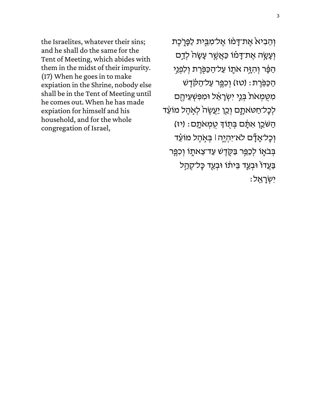the Israelites, whatever their sins; and he shall do the same for the Tent of Meeting, which abides with them in the midst of their impurity. (17) When he goes in to make expiation in the Shrine, nobody else shall be in the Tent of Meeting until he comes out. When he has made expiation for himself and his household, and for the whole congregation of Israel,

וְהֵבִיא אֵת־דָּמֹו אֱל־מִבֵּית לַפָּרֶכֵת וְעָשֶׂה אֶת־דָּמֹו כַּאֲשֶׁר עָשָׂה<sup>ָ</sup> לְדַם ֹהַפֶּ֫ר וְהִזָּה אֹתֶוֹ עַל־הַכַּפְּׂרֶת וְלִפְנֵי ֿהַכַּפְּרֶת: (טז) וְכִפֶּר עַל־הַקָּדֶשׁ מִטָּמְאֹתֹ בְּנֵי יִשְׂרָאֵל וּמִפִּשְׁעֵיהֶם לְכָל־חַטּאתֶם וְכֵן יַעֲשֶׂהֹ לְאָהֶל מוֹעֵד ֿהַשֹּׁכֵן אִתָּם בְּתָוֹךְ טֻמְאֹתָם: (יז) וְכָל־אָדָٞם לֹא־יִהְיֶה ּ׀ בְּאָהֶל מוֹעֵּד בְּבֹאֶוֹ לְכַפֵּר בַּקֶדֶשׁ עַד־צֵאתֶוֹ וְכִפֵּר בַּעֲדוֹ וּבְעַד בֵּיתֹו וּבְעַד כָּל־קְהַל יִשְ רָ א ֻֽ ל׃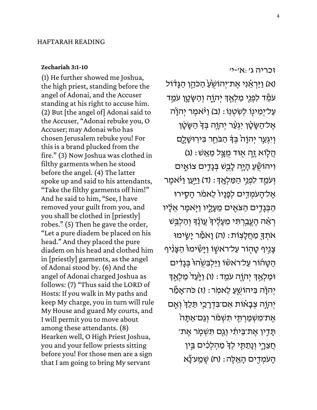## **[Zechariah 3:1-10](https://www.sefaria.org/Zechariah.3.1-10)**

(1) He further showed me Joshua, the high priest, standing before the angel of Adonai, and the Accuser standing at his right to accuse him. (2) But [the angel of] Adonai said to the Accuser, "Adonai rebuke you, O Accuser; may Adonai who has chosen Jerusalem rebuke you! For this is a brand plucked from the fire." (3) Now Joshua was clothed in filthy garments when he stood before the angel. (4) The latter spoke up and said to his attendants, "Take the filthy garments off him!" And he said to him, "See, I have removed your guilt from you, and you shall be clothed in [priestly] robes." (5) Then he gave the order, "Let a pure diadem be placed on his head." And they placed the pure diadem on his head and clothed him in [priestly] garments, as the angel of Adonai stood by. (6) And the angel of Adonai charged Joshua as follows: (7) "Thus said the LORD of Hosts: If you walk in My paths and keep My charge, you in turn will rule My House and guard My courts, and I will permit you to move about among these attendants. (8) Hearken well, O High Priest Joshua, you and your fellow priests sitting before you! For those men are a sign that I am going to bring My servant

[זכריֹה](https://www.sefaria.org/Zechariah.3.1-10) [ג׳:א׳-י׳](https://www.sefaria.org/Zechariah.3.1-10)  (א) וַיַּרְאֵ֫נִי אֶת־יְהוֹשָׂעַ הַכֹּהֵן הַגָּדֹול עֹמֵׂד לִפְגֵי מַלְאַדְּ יִהוָה וְהַש<u>ָּׂטֵ</u>ן עֹמֵד עַל־יִמְינְו לְשִׂטְנְו : (ב) וַ י<sub>ּ</sub>ּׂאמֶר יְהוָ*ׂ*ה ְאֱל־הַשֶּׂטֶׁן יִגְעֲר יְהוֶה בְּדְ הַשֶּׂטֶן וְיִגְעַר יִהוַהֹ בִּד הַבֹּחֵר בִּירְוּשָׁלֵם הַלְוֹא זֶה אָוּד מִצְל מֵאֵשׁ: (ג) וִיהוֹשֵׁעַ הָיָה לָבֻשׁ בִּגָּדִים צוֹאֵים וְ עֹמֵד לִפְגֵי הַמַּלְאֵדְ: (ד) <u>וַיִּעַן</u> וַיֹּאמֵר אֱל־הָעֹמְדֵים לְפָנָיוֹ לֵאמֹר הַסֵירוּ ֿהַבְּגָדִים הַצֹּאֶים מֵעָלֶיו וַיְּאמֶר אֵלָיו ֿרְאֶה הֵעֱבֵרִתִּי מֵעָלֵיךָ עֵוֹנֶד וְהַלְבֵּשׁ ֹאֹתְךָ מַחֲלָצְוֹת: (ה) וָאֹמֵׂר יָשֶׂימוּ ּצָגִיף טָהָוֹר עַל־רֹאשָׂוֹ וַיָּשִׂימוּ ּהַצָּנִיף ֿהַטָּהוֹר עַל־ראשׂו וַיַּלְבִּשְׂהוּ בְּגָדִים וּמַלְאַדְּ יְהוָה עֹמֵד: (ו) וַיָּּעַד<sup>י</sup> מַלְאַדְ יְהוָׂה בִּיהוֹשֻעַ לֵאמִר: (ז) כֹּה־אֲמֵۢר יְהוֵה צִבָאוֹת אִס־בִּדְרָכֵי תֵּלֵדְ וְאֵם ּ אֶת־מִשְׁמַרְתֵּי תִשְׁמֹר וְגַם־אַתָּה ֿתָּדְין אֵת־בֵּיתִי וְגַם תִּשְׁמְר אֵת־ ְחֲצֵרֶי וְנָתַתָּי לְדָּ מַהְלְכִ֫ים בֵּין ֿהָעֹמְדָים הָאֱלֵה: (ח) שְׁמַע־נָ̃א